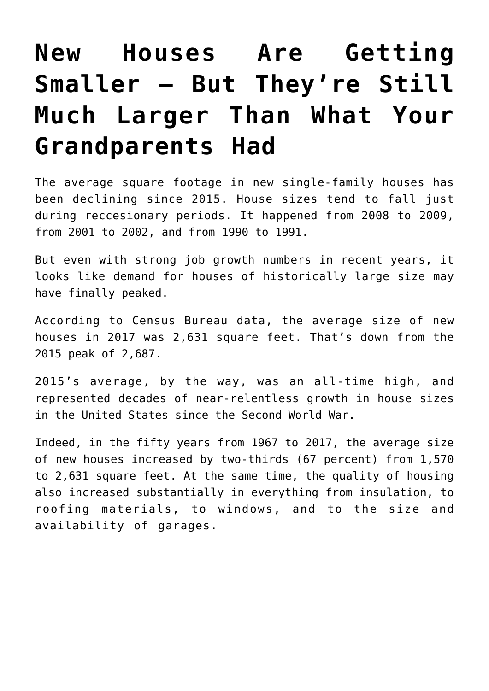## **[New Houses Are Getting](https://intellectualtakeout.org/2019/03/new-houses-are-getting-smaller-but-theyre-still-much-larger-than-what-your-grandparents-had/) [Smaller — But They're Still](https://intellectualtakeout.org/2019/03/new-houses-are-getting-smaller-but-theyre-still-much-larger-than-what-your-grandparents-had/) [Much Larger Than What Your](https://intellectualtakeout.org/2019/03/new-houses-are-getting-smaller-but-theyre-still-much-larger-than-what-your-grandparents-had/) [Grandparents Had](https://intellectualtakeout.org/2019/03/new-houses-are-getting-smaller-but-theyre-still-much-larger-than-what-your-grandparents-had/)**

The average square footage in new single-family houses has been declining since 2015. House sizes tend to fall just during reccesionary periods. It happened from 2008 to 2009, from 2001 to 2002, and from 1990 to 1991.

But even with strong job growth numbers in recent years, it looks like demand for houses of historically large size may have finally peaked.

According to Census Bureau data, the average size of new houses in 2017 was 2,631 square feet. That's down from the 2015 peak of 2,687.

2015's average, by the way, was an all-time high, and represented decades of near-relentless growth in house sizes in the United States since the Second World War.

Indeed, in the fifty years from 1967 to 2017, the average size of new houses increased by two-thirds (67 percent) from 1,570 to 2,631 square feet. At the same time, the quality of housing also increased substantially in everything from insulation, to roofing materials, to windows, and to the size and availability of garages.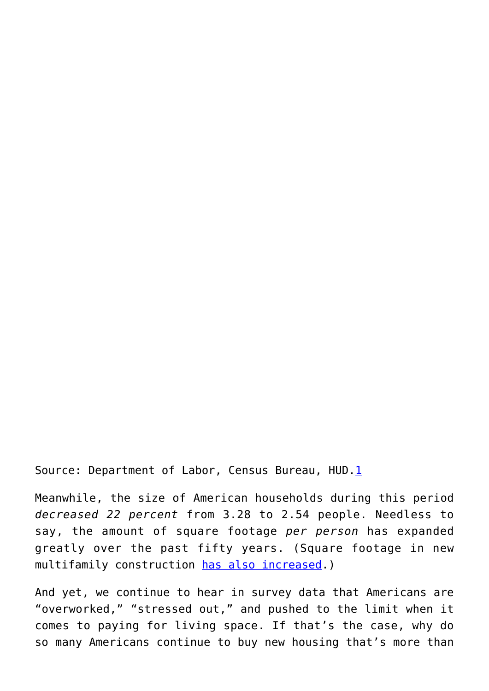Source: Department of Labor, Census Bureau, HUD.[1](https://mises.org/wire/new-houses-are-getting-smaller-%E2%80%94-theyre-still-much-larger-what-your-grandparents-had#footnote1_d3xquq7)

Meanwhile, the size of American households during this period *decreased 22 percent* from 3.28 to 2.54 people. Needless to say, the amount of square footage *per person* has expanded greatly over the past fifty years. (Square footage in new multifamily construction [has also increased.](https://mises.org/wire/american-houses-keep-getting-bigger-%E2%80%94-and-so-does-american-debt))

And yet, we continue to hear in survey data that Americans are "overworked," "stressed out," and pushed to the limit when it comes to paying for living space. If that's the case, why do so many Americans continue to buy new housing that's more than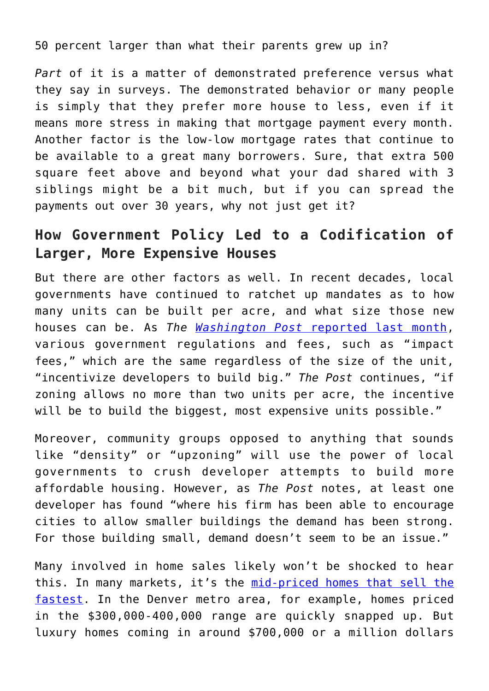50 percent larger than what their parents grew up in?

*Part* of it is a matter of demonstrated preference versus what they say in surveys. The demonstrated behavior or many people is simply that they prefer more house to less, even if it means more stress in making that mortgage payment every month. Another factor is the low-low mortgage rates that continue to be available to a great many borrowers. Sure, that extra 500 square feet above and beyond what your dad shared with 3 siblings might be a bit much, but if you can spread the payments out over 30 years, why not just get it?

## **How Government Policy Led to a Codification of Larger, More Expensive Houses**

But there are other factors as well. In recent decades, local governments have continued to ratchet up mandates as to how many units can be built per acre, and what size those new houses can be. As *The [Washington Post](https://www.washingtonpost.com/realestate/downsizing-the-american-dream-the-new-trend-toward-missing-middle-housing/2019/02/13/0f6d0568-232b-11e9-81fd-b7b05d5bed90_story.html?noredirect=on&utm_term=.5f875c74a033)* [reported last month,](https://www.washingtonpost.com/realestate/downsizing-the-american-dream-the-new-trend-toward-missing-middle-housing/2019/02/13/0f6d0568-232b-11e9-81fd-b7b05d5bed90_story.html?noredirect=on&utm_term=.5f875c74a033) various government regulations and fees, such as "impact fees," which are the same regardless of the size of the unit, "incentivize developers to build big." *The Post* continues, "if zoning allows no more than two units per acre, the incentive will be to build the biggest, most expensive units possible."

Moreover, community groups opposed to anything that sounds like "density" or "upzoning" will use the power of local governments to crush developer attempts to build more affordable housing. However, as *The Post* notes, at least one developer has found "where his firm has been able to encourage cities to allow smaller buildings the demand has been strong. For those building small, demand doesn't seem to be an issue."

Many involved in home sales likely won't be shocked to hear this. In many markets, it's the [mid-priced homes that sell the](https://www.forbes.com/sites/pamdanziger/2018/04/17/real-estate-market-is-hot-except-at-the-high-end-disruption-coming-in-the-luxury-home-market/#34e578f23b5a) [fastest](https://www.forbes.com/sites/pamdanziger/2018/04/17/real-estate-market-is-hot-except-at-the-high-end-disruption-coming-in-the-luxury-home-market/#34e578f23b5a). In the Denver metro area, for example, homes priced in the \$300,000-400,000 range are quickly snapped up. But luxury homes coming in around \$700,000 or a million dollars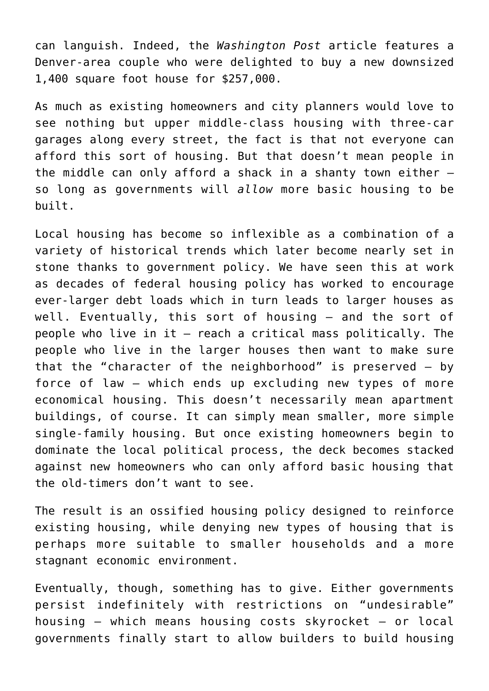can languish. Indeed, the *Washington Post* article features a Denver-area couple who were delighted to buy a new downsized 1,400 square foot house for \$257,000.

As much as existing homeowners and city planners would love to see nothing but upper middle-class housing with three-car garages along every street, the fact is that not everyone can afford this sort of housing. But that doesn't mean people in the middle can only afford a shack in a shanty town either  $$ so long as governments will *allow* more basic housing to be built.

Local housing has become so inflexible as a combination of a variety of historical trends which later become nearly set in stone thanks to government policy. We have seen this at work as decades of federal housing policy has worked to encourage ever-larger debt loads which in turn leads to larger houses as well. Eventually, this sort of housing — and the sort of people who live in it — reach a critical mass politically. The people who live in the larger houses then want to make sure that the "character of the neighborhood" is preserved — by force of law — which ends up excluding new types of more economical housing. This doesn't necessarily mean apartment buildings, of course. It can simply mean smaller, more simple single-family housing. But once existing homeowners begin to dominate the local political process, the deck becomes stacked against new homeowners who can only afford basic housing that the old-timers don't want to see.

The result is an ossified housing policy designed to reinforce existing housing, while denying new types of housing that is perhaps more suitable to smaller households and a more stagnant economic environment.

Eventually, though, something has to give. Either governments persist indefinitely with restrictions on "undesirable" housing — which means housing costs skyrocket — or local governments finally start to allow builders to build housing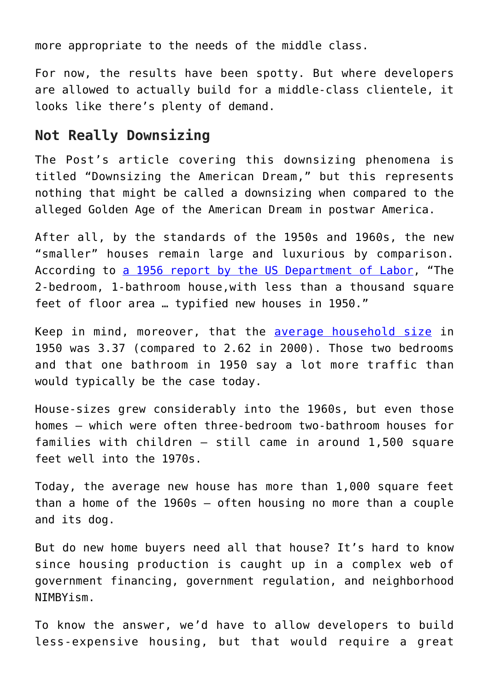more appropriate to the needs of the middle class.

For now, the results have been spotty. But where developers are allowed to actually build for a middle-class clientele, it looks like there's plenty of demand.

## **Not Really Downsizing**

The Post's article covering this downsizing phenomena is titled "Downsizing the American Dream," but this represents nothing that might be called a downsizing when compared to the alleged Golden Age of the American Dream in postwar America.

After all, by the standards of the 1950s and 1960s, the new "smaller" houses remain large and luxurious by comparison. According to [a 1956 report by the US Department of Labor](https://fraser.stlouisfed.org/files/docs/publications/bls/bls_1231_1958.pdf), "The 2-bedroom, 1-bathroom house,with less than a thousand square feet of floor area … typified new houses in 1950."

Keep in mind, moreover, that the [average household size](https://www.census.gov/population/socdemo/hh-fam/tabHH-6.pdf) in 1950 was 3.37 (compared to 2.62 in 2000). Those two bedrooms and that one bathroom in 1950 say a lot more traffic than would typically be the case today.

House-sizes grew considerably into the 1960s, but even those homes — which were often three-bedroom two-bathroom houses for families with children — still came in around 1,500 square feet well into the 1970s.

Today, the average new house has more than 1,000 square feet than a home of the 1960s — often housing no more than a couple and its dog.

But do new home buyers need all that house? It's hard to know since housing production is caught up in a complex web of government financing, government regulation, and neighborhood NIMBYism.

To know the answer, we'd have to allow developers to build less-expensive housing, but that would require a great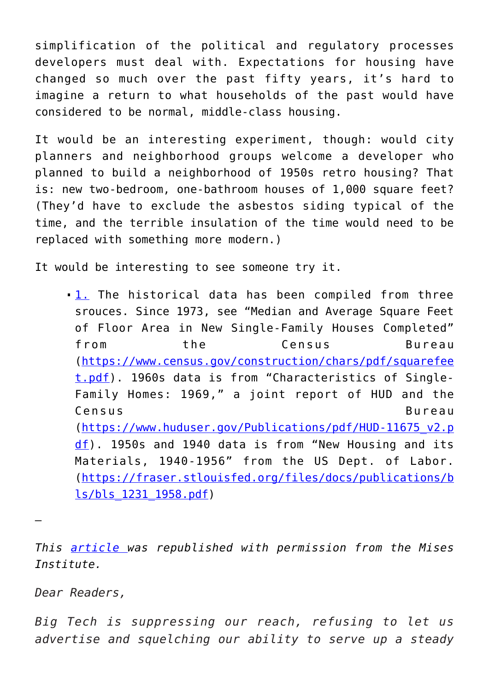simplification of the political and regulatory processes developers must deal with. Expectations for housing have changed so much over the past fifty years, it's hard to imagine a return to what households of the past would have considered to be normal, middle-class housing.

It would be an interesting experiment, though: would city planners and neighborhood groups welcome a developer who planned to build a neighborhood of 1950s retro housing? That is: new two-bedroom, one-bathroom houses of 1,000 square feet? (They'd have to exclude the asbestos siding typical of the time, and the terrible insulation of the time would need to be replaced with something more modern.)

It would be interesting to see someone try it.

[1.](https://mises.org/wire/new-houses-are-getting-smaller-%E2%80%94-theyre-still-much-larger-what-your-grandparents-had#footnoteref1_d3xquq7) The historical data has been compiled from three srouces. Since 1973, see "Median and Average Square Feet of Floor Area in New Single-Family Houses Completed" from the Census Bureau ([https://www.census.gov/construction/chars/pdf/squarefee](https://www.census.gov/construction/chars/pdf/squarefeet.pdf) [t.pdf](https://www.census.gov/construction/chars/pdf/squarefeet.pdf)). 1960s data is from "Characteristics of Single-Family Homes: 1969," a joint report of HUD and the Census Bureau ([https://www.huduser.gov/Publications/pdf/HUD-11675\\_v2.p](https://www.huduser.gov/Publications/pdf/HUD-11675_v2.pdf) [df](https://www.huduser.gov/Publications/pdf/HUD-11675_v2.pdf)). 1950s and 1940 data is from "New Housing and its Materials, 1940-1956" from the US Dept. of Labor. ([https://fraser.stlouisfed.org/files/docs/publications/b](https://fraser.stlouisfed.org/files/docs/publications/bls/bls_1231_1958.pdf) [ls/bls\\_1231\\_1958.pdf\)](https://fraser.stlouisfed.org/files/docs/publications/bls/bls_1231_1958.pdf)

*This [article](https://mises.org/wire/new-houses-are-getting-smaller-%E2%80%94-theyre-still-much-larger-what-your-grandparents-had) was republished with permission from the Mises Institute.*

*Dear Readers,*

—

*Big Tech is suppressing our reach, refusing to let us advertise and squelching our ability to serve up a steady*